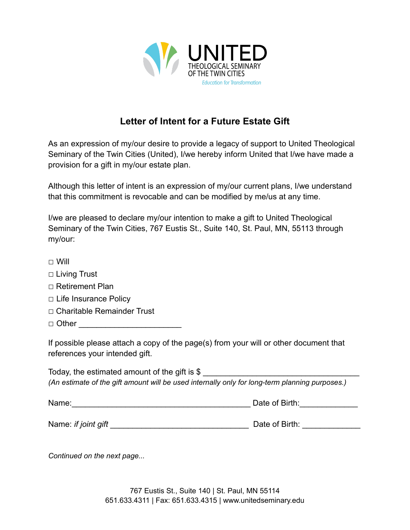

## **Letter of Intent for a Future Estate Gift**

As an expression of my/our desire to provide a legacy of support to United Theological Seminary of the Twin Cities (United), I/we hereby inform United that I/we have made a provision for a gift in my/our estate plan.

Although this letter of intent is an expression of my/our current plans, I/we understand that this commitment is revocable and can be modified by me/us at any time.

I/we are pleased to declare my/our intention to make a gift to United Theological Seminary of the Twin Cities, 767 Eustis St., Suite 140, St. Paul, MN, 55113 through my/our:

- □ Will
- □ Living Trust
- □ Retirement Plan
- □ Life Insurance Policy
- □ Charitable Remainder Trust
- $\Box$  Other

If possible please attach a copy of the page(s) from your will or other document that references your intended gift.

Today, the estimated amount of the gift is  $$$ *(An estimate of the gift amount will be used internally only for long-term planning purposes.)*

| Name: | Date of Birth: |
|-------|----------------|
|       |                |

Name: *if joint gift* \_\_\_\_\_\_\_\_\_\_\_\_\_\_\_\_\_\_\_\_\_\_\_\_\_\_\_\_\_\_\_ Date of Birth: \_\_\_\_\_\_\_\_\_\_\_\_\_

*Continued on the next page...*